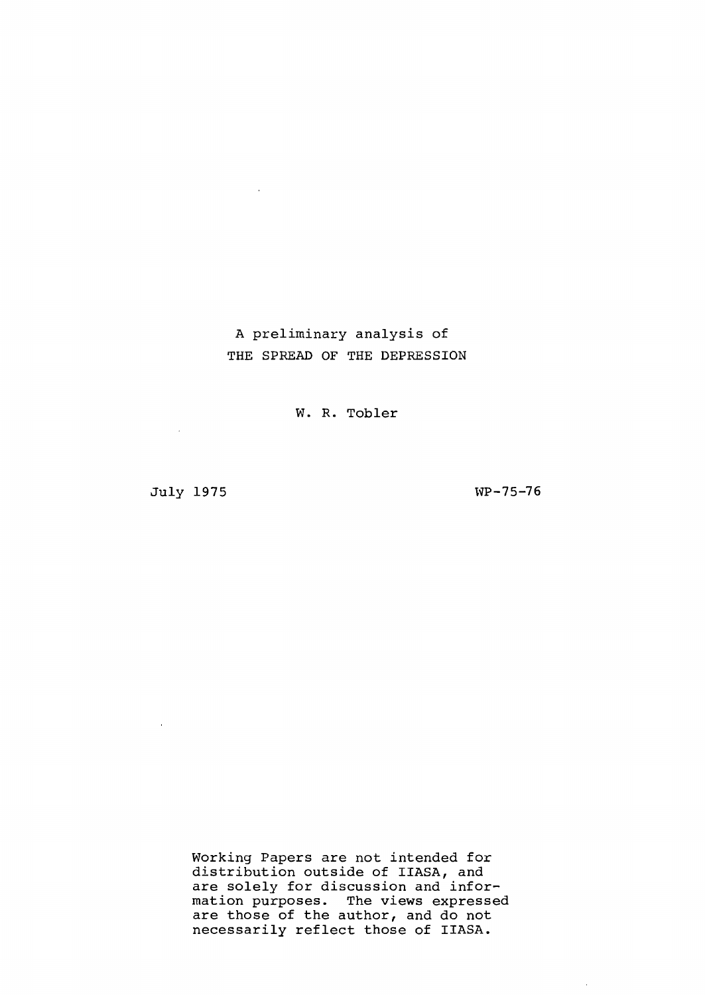# A preliminary analysis of THE SPREAD OF THE DEPRESSION

W. R. Tobler

July 1975 WP-75-76

 $\mathcal{L}$ 

 $\ddot{\phantom{a}}$ 

Working Papers are not intended for distribution outside of IIASA, and are solely for discussion and information purposes. The views expressed are those of the author, and do not necessarily reflect those of IIASA.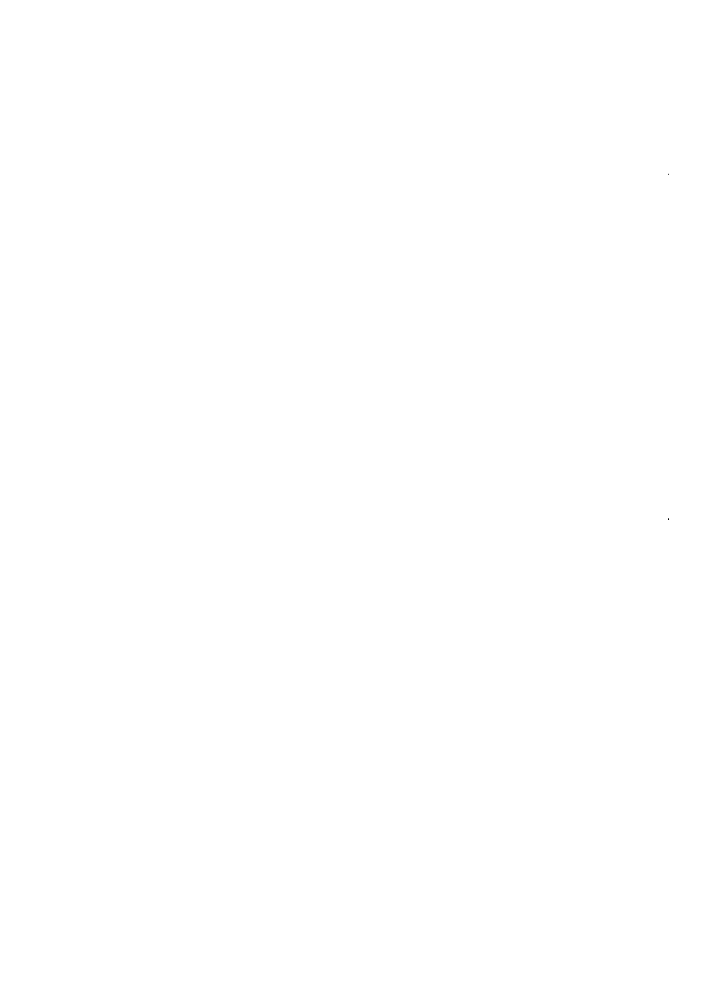$\epsilon$  $\star$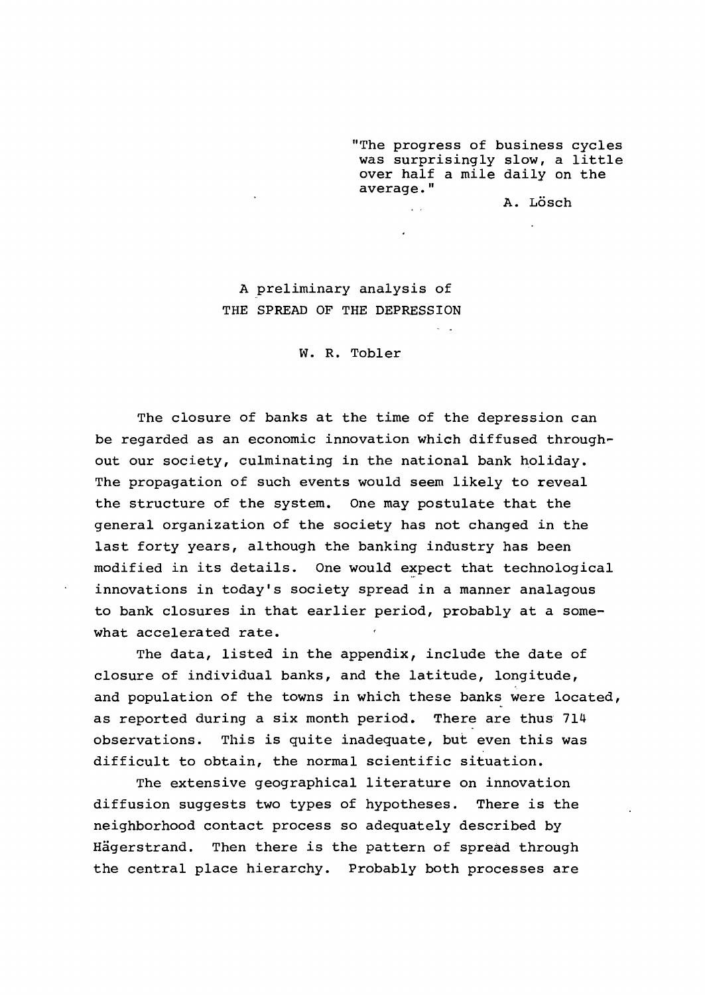"The progress of business cycles was surprisingly slow, <sup>a</sup> little over half a mile daily on the average."

 $\mathcal{L}^{\mathcal{L}}(\mathcal{L})$ 

A. Lösch

 $\mathbf{r}$ 

## A preliminary analysis of THE SPREAD OF THE DEPRESSION

w. R. Tobler

The closure of banks at the time of the depression can be regarded as an economic innovation which diffused throughout our society, culminating in the national bank holiday. The propagation of such events would seem likely to reveal the structure of the system. One may postulate that the general organization of the society has not changed in the last forty years, although the banking industry has been modified in its details. One would expect that technological innovations in today's society spread in a manner analagous to bank closures in that earlier period, probably at <sup>a</sup> somewhat accelerated rate.

The data, listed in the appendix, include the date of closure of individual banks, and the latitude, longitude, and population of the towns in which these banks were located, as reported during a six month period. There are thus 714 observations. This is quite inadequate, but even this was difficult to obtain, the normal scientific situation.

The extensive geographical literature on innovation diffusion suggests two types of hypotheses. There is the neighborhood contact process so adequately described by Hägerstrand. Then there is the pattern of spread through the central place hierarchy. Probably both processes are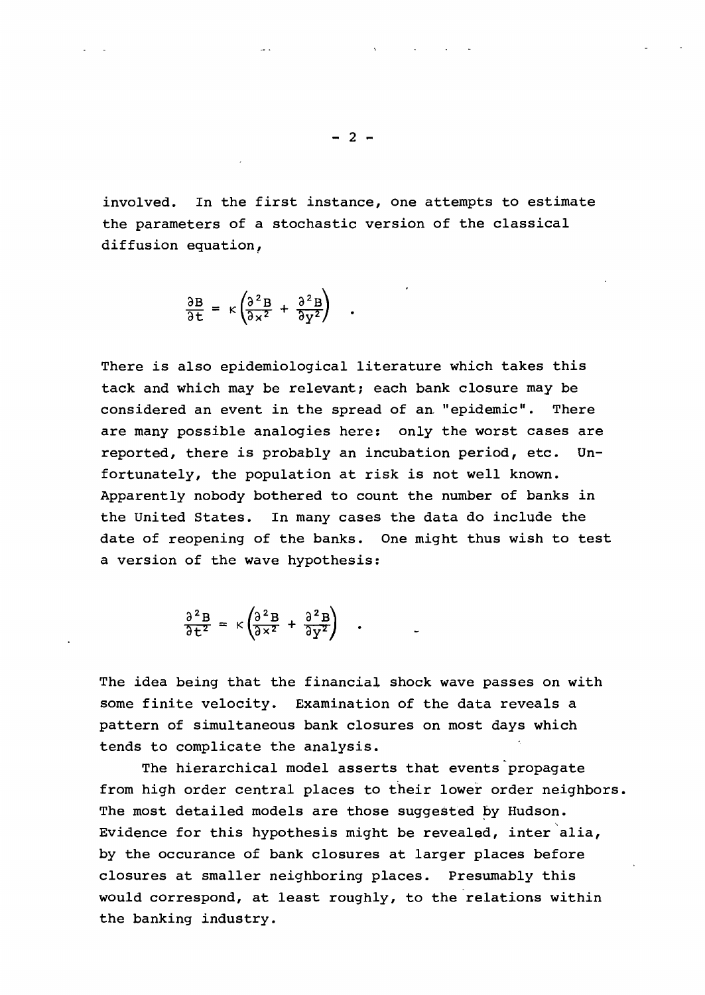involved. In the first instance, one attempts to estimate the parameters of <sup>a</sup> stochastic version of the classical diffusion equation,

$$
\frac{\partial B}{\partial t} = \kappa \left( \frac{\partial^2 B}{\partial x^2} + \frac{\partial^2 B}{\partial y^2} \right) .
$$

 $\sim$   $\sim$ 

There is also epidemiological literature which takes this tack and which may be relevant; each bank closure may be considered an event in the spread of an "epidemic". There are many possible analogies here: only the worst cases are reported, there is probably an incubation period, etc. Unfortunately, the population at risk is not well known. Apparently nobody bothered to count the number of banks in the United States. In many cases the data do include the date of reopening of the banks. One might thus wish to test a version of the wave hypothesis:

$$
\frac{\partial^2 B}{\partial t^2} = \kappa \left( \frac{\partial^2 B}{\partial x^2} + \frac{\partial^2 B}{\partial y^2} \right) .
$$

The idea being that the financial shock wave passes on with some finite velocity. Examination of the data reveals <sup>a</sup> pattern of simultaneous bank closures on most days which tends to complicate the analysis.

The hierarchical model asserts that events propagate from high order central places to their lower order neighbors. The most detailed models are those suggested by Hudson. Evidence for this hypothesis might be revealed, inter alia, by the occurance of bank closures at larger places before closures at smaller neighboring places. Presumably this would correspond, at least roughly, to the relations within the banking industry.

 $\mathcal{L}^{\mathcal{L}}(\mathcal{L}^{\mathcal{L}}(\mathcal{L}^{\mathcal{L}}(\mathcal{L}^{\mathcal{L}}(\mathcal{L}^{\mathcal{L}}(\mathcal{L}^{\mathcal{L}}(\mathcal{L}^{\mathcal{L}}(\mathcal{L}^{\mathcal{L}}(\mathcal{L}^{\mathcal{L}}(\mathcal{L}^{\mathcal{L}}(\mathcal{L}^{\mathcal{L}}(\mathcal{L}^{\mathcal{L}}(\mathcal{L}^{\mathcal{L}}(\mathcal{L}^{\mathcal{L}}(\mathcal{L}^{\mathcal{L}}(\mathcal{L}^{\mathcal{L}}(\mathcal{L}^{\mathcal{L$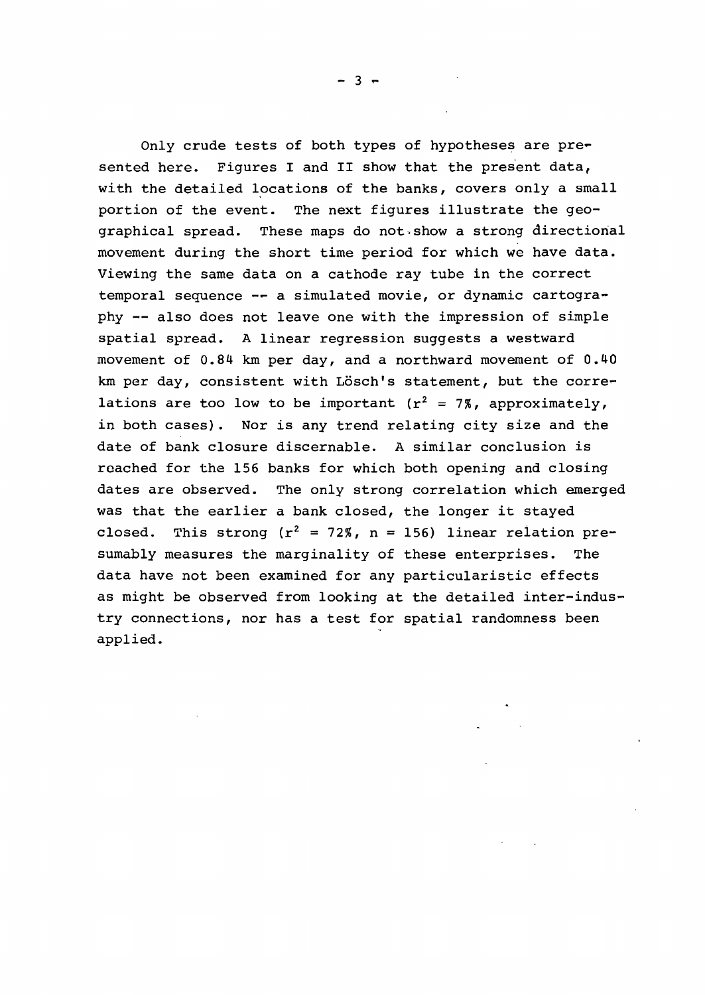Only crude tests of both types of hypotheses are pre~ sented here. Figures I and II show that the present data, with the detailed locations of the banks, covers only a small portion of the event. The next figures illustrate the geographical spread. These maps do not show a strong directional movement during the short time period for which we have data. Viewing the same data on a cathode ray tube in the correct temporal sequence -- a simulated movie, or dynamic cartography -- also does not leave one with the impression of simple spatial spread. <sup>A</sup> linear regression suggests <sup>a</sup> westward movement of 0.84 km per day, and a northward movement of 0.40 km per day, consistent with Lösch's statement, but the correlations are too low to be important  $(r^2 = 7\%$ , approximately, in both cases). Nor is any trend relating city size and the date of bank closure discernable. <sup>A</sup> similar conclusion is reached for the 156 banks for which both opening and closing dates are observed. The only strong correlation which emerged was that the earlier <sup>a</sup> bank closed, the longer it stayed closed. This strong  $(r^2 = 72\% , n = 156)$  linear relation presumably measures the marginality of these enterprises. The data have not been examined for any particularistic effects as might be observed from looking at the detailed inter-industry connections, nor has <sup>a</sup> test for spatial randomness been applied.

 $-3 -$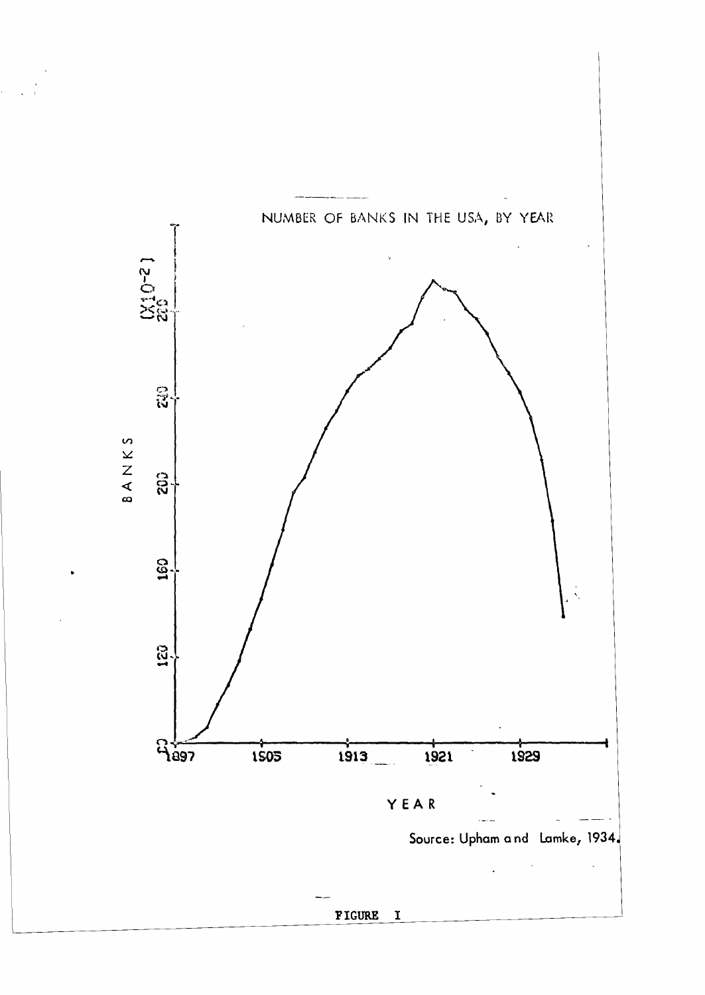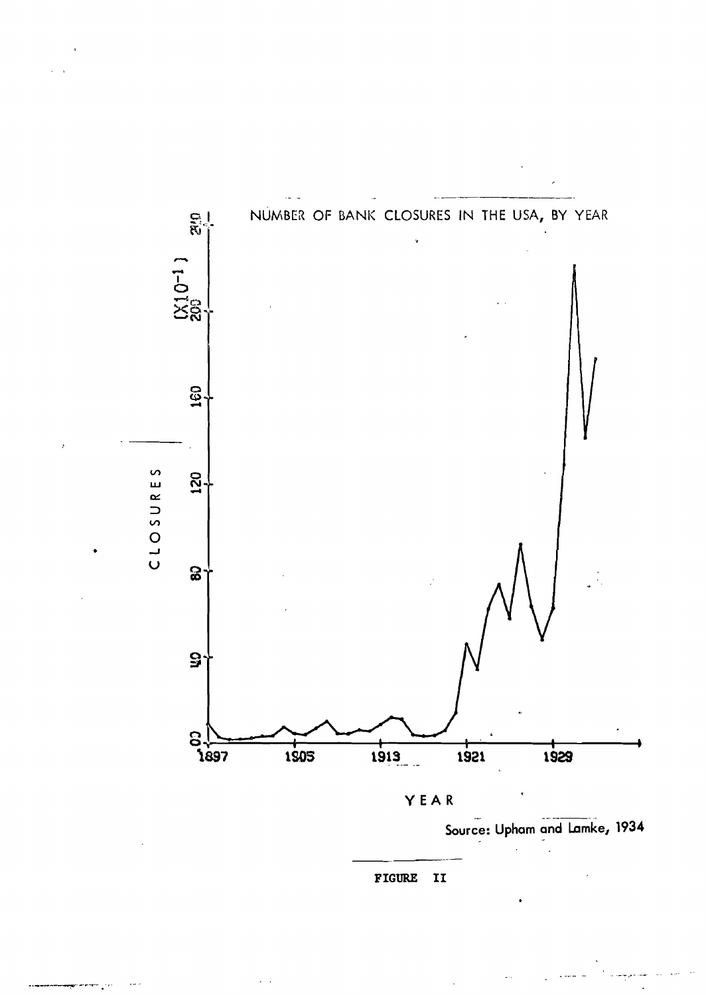

YEAR

Source: Upham and Lamke, 1934

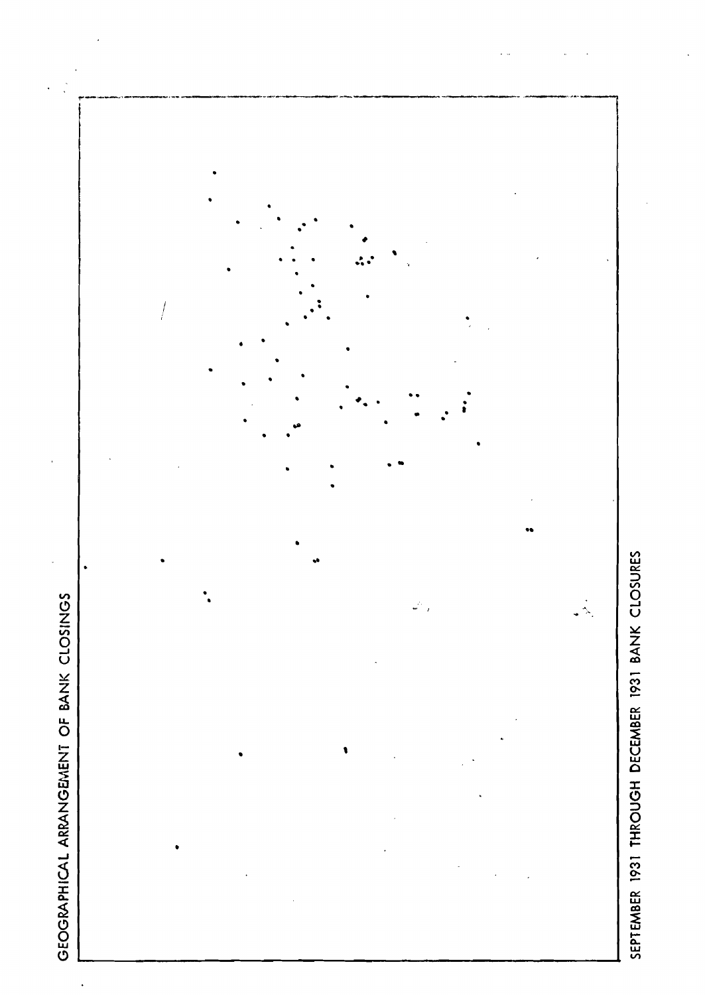

SEPTEMBER 1931 THROUGH DECEMBER 1931 BANK CLOSURES SEPTEMBER 1931 THROUGH DECEMBER 1931 BANK CLOSURES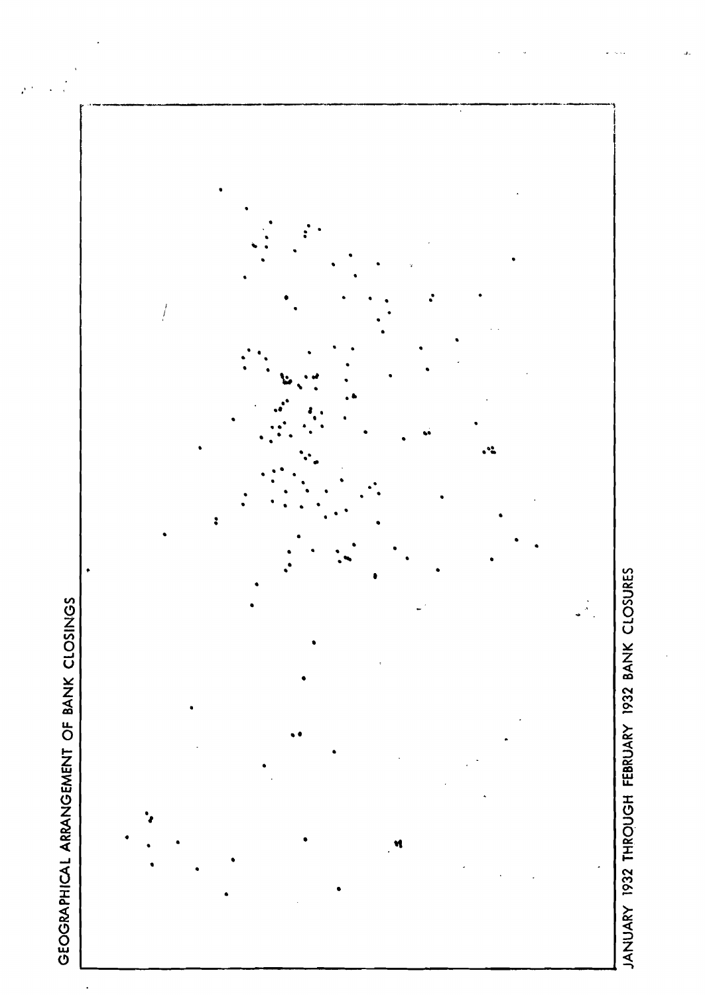

 $\ddot{\phantom{1}}$ 



JANUARY 1932 THROUGH FEBRUARY 1932 BANK CLOSURES JANUARY 1932 THROUGH FEBRUARY 1932 BANK CLOSURES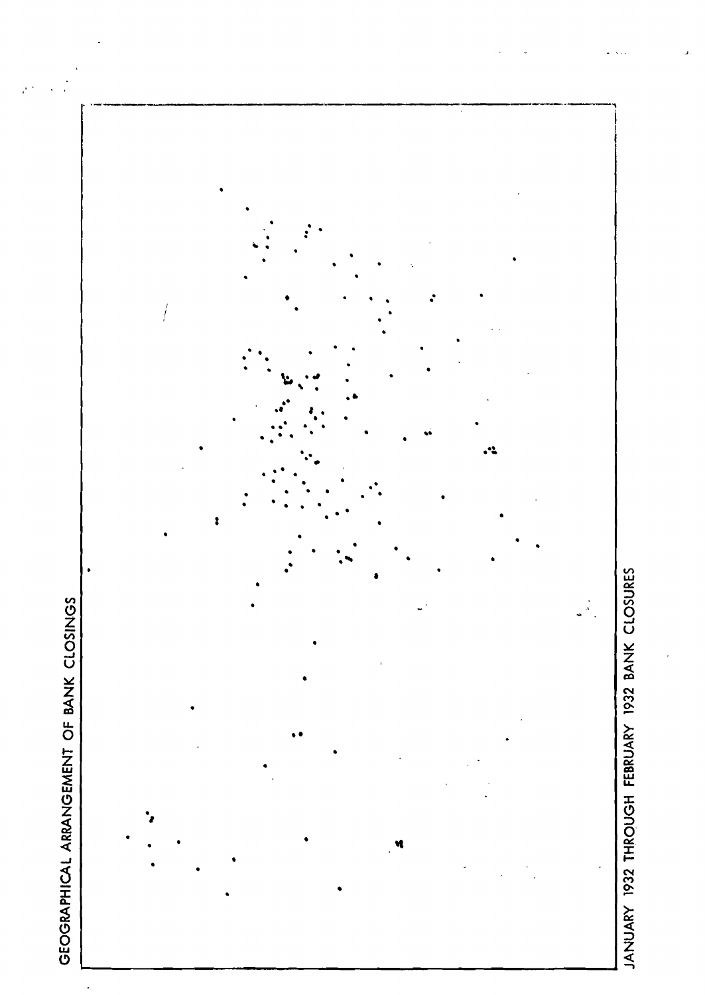$\ddot{\phantom{0}}$ 

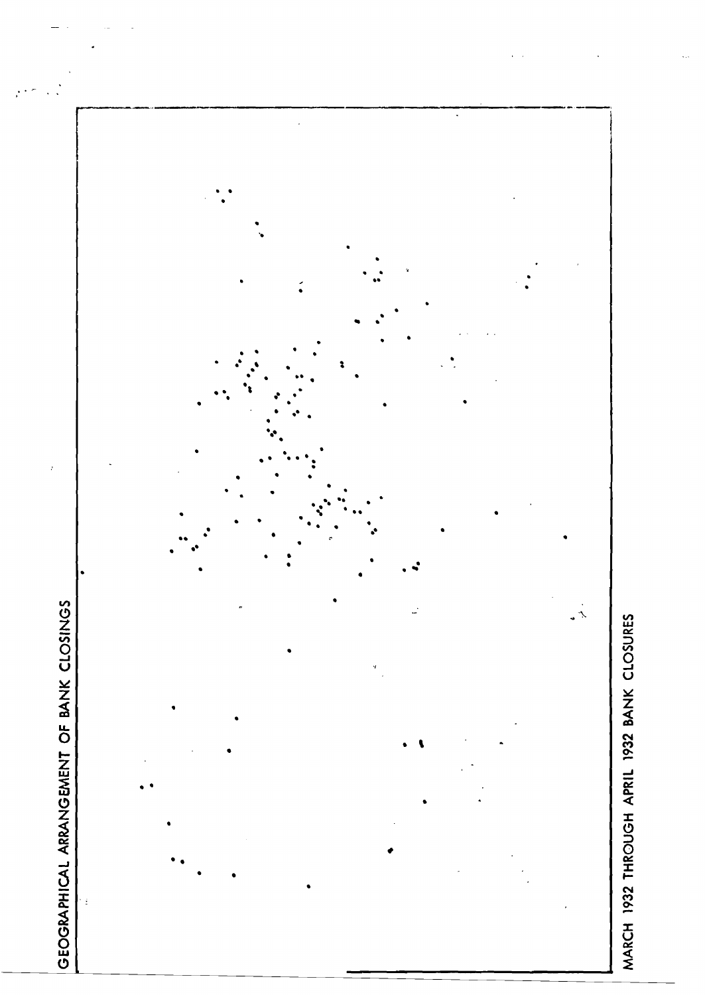



MARCH 1932 THROUGH APRIL 1932 BANK CLOSURES MARCH 1932 THROUGH APRIL 1932 BANK CLOSURES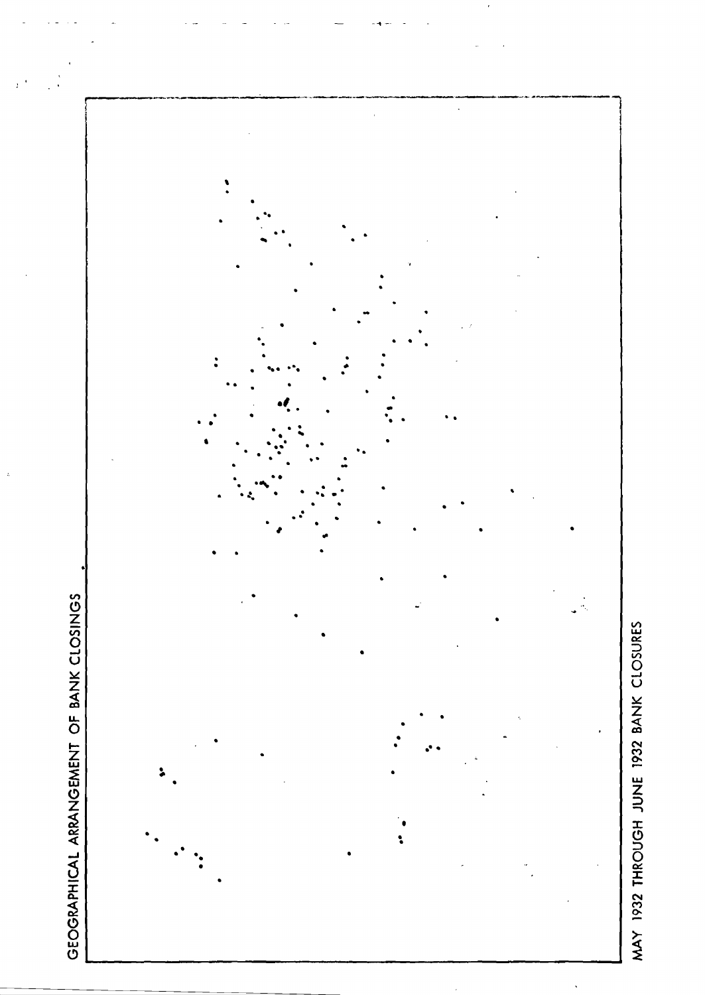

MAY 1932 THROUGH JUNE 1932 BANK CLOSURES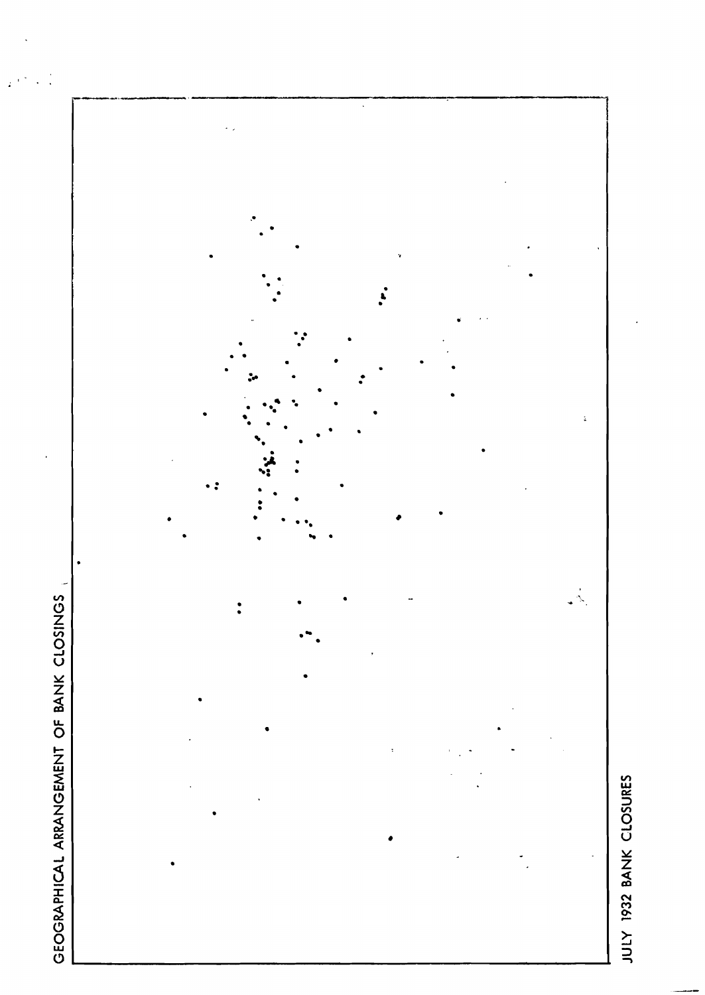GEOGRAPHICAL ARRANGEMENT OF BANK CLOSINGS



JULY 1932 BANK CLOSURES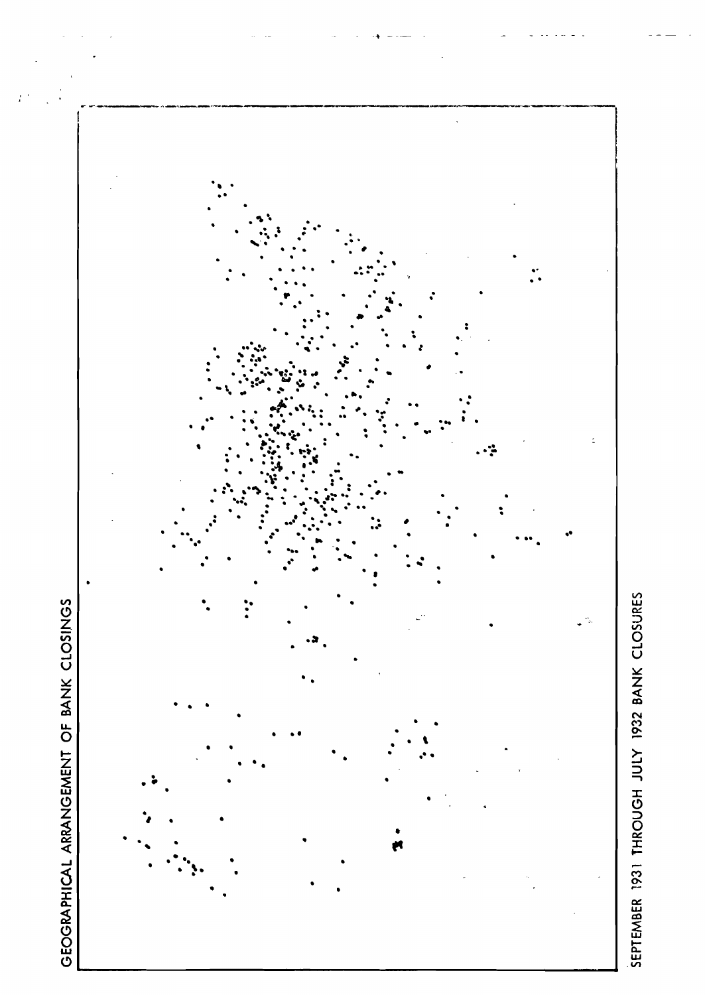



SEPTEMBER 1931 THROUGH JULY 1932 BANK CLOSURES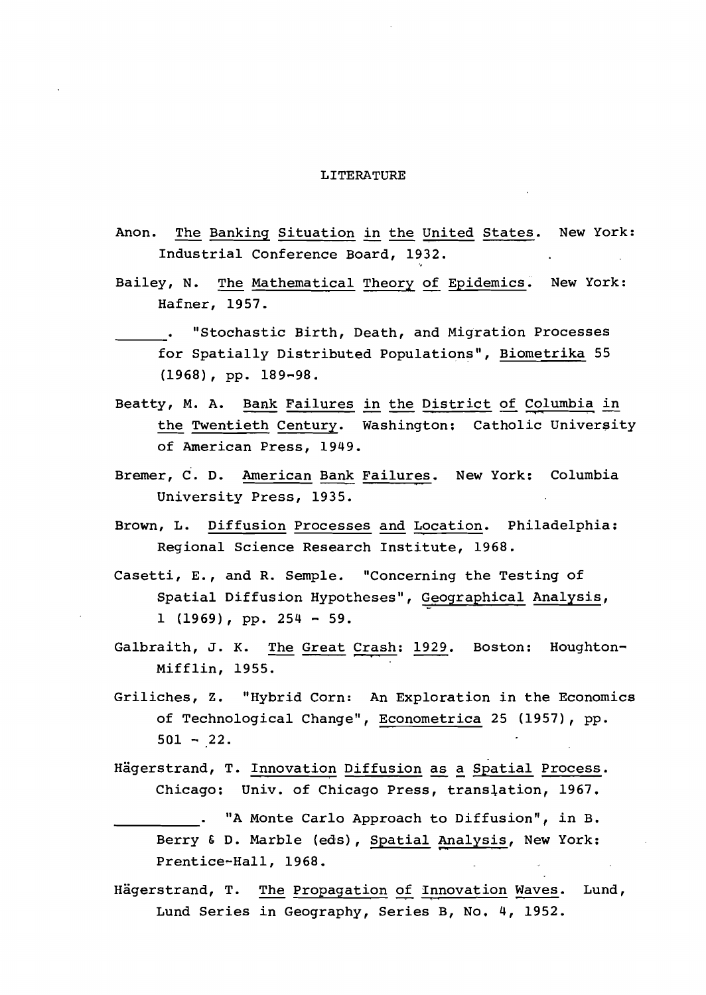#### LITERATURE

- Anon. The Banking Situation in the United States. New York: Industrial Conference Board, 1932.
- Bailey, N. The Mathematical Theory of Epidemics. New York: Hafner, 1957.
- "Stochastic Birth, Death, and Migration Processes for Spatially Distributed Populations", Biometrika 55 (1968), pp. 189-98.
- Beatty, M. A. Bank Failures in the District of Columbia in the Twentieth Century. Washington: Catholic University of American Press, 1949.
- Bremer, C. D. American Bank Failures. New York: Columbia University Press, 1935.
- Brown, L. Diffusion Processes and Location. philadelphia: Regional Science Research Institute, 1968.
- Casetti, E., and R. Semple. "Concerning the Testing of Spatial Diffusion Hypotheses", Geographical Analysis,  $1$  (1969), pp. 254 - 59.
- Galbraith, J. K. The Great Crash: 1929. Boston: Houghton-<br>Mifflin, 1955.
- Griliches, Z. "Hybrid Corn: An Exploration in the Economics of Technological Change", Econometrica 25 (1957), pp.  $501 - 22.$
- Hägerstrand, T. Innovation Diffusion as a Spatial Process. Chicago: Univ. of Chicago Press, translation, 1967.
	- "A Monte Carlo Approach to Diffusion", in B. Berry & D. Marble (eds), Spatial Analysis, New York: Prentice-Hall, 1968.
- Hägerstrand, T. The Propagation of Innovation Waves. Lund, Lund Series in Geography, Series B, No.4, 1952.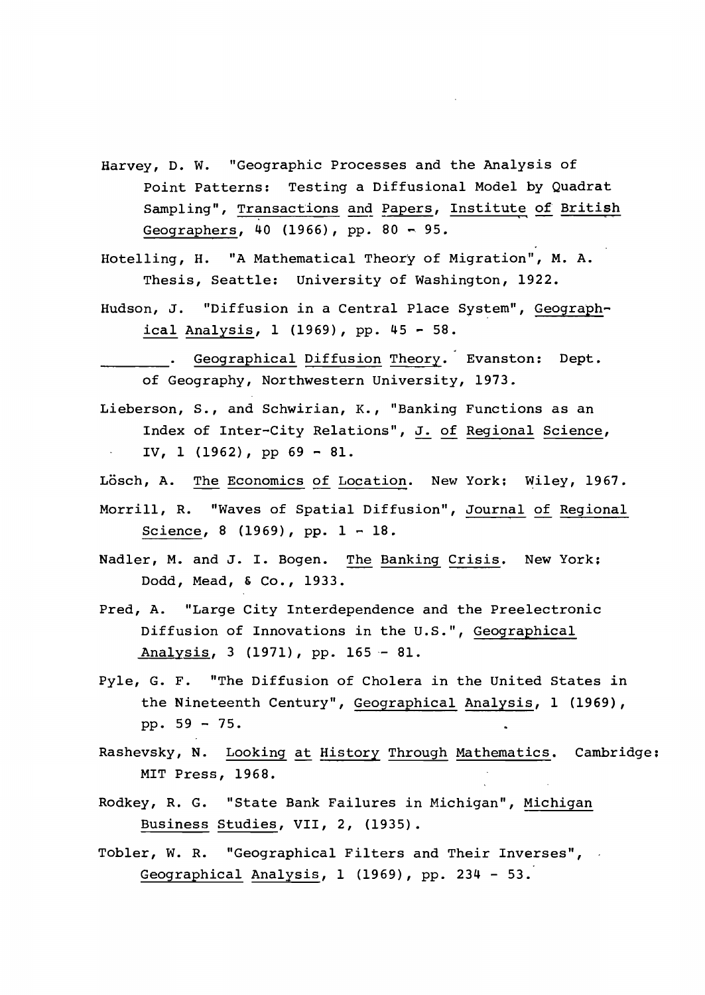- Harvey, D. W. "Geographic Processes and the Analysis of Point Patterns: Testing a Diffusional Model by Quadrat Formt Facterns. Testing a Diffusional Houci by guadractions.<br>Sampling", Transactions and Papers, Institute of British Geographers, 40 (1966), pp. 80 - 95.
- Hotelling, H. "A Mathematical Theory of Migration", M. A. Thesis, Seattle: University of Washington, 1922.
- Hudson, J. "Diffusion in a Central Place System", Geographical Analysis, <sup>1</sup> (1969), pp. <sup>45</sup> - 58.
- Geographical Diffusion Theory. Evanston: Dept. of Geography, Northwestern University, 1973.
- Lieberson, S., and Schwirian, K., "Banking Functions as an Index of Inter-City Relations", J. of Regional Science, IV, 1 (1962), pp 69 - 81.
- Lösch, A. The Economics of Location. New York: Wiley, 1967.
- Morrill, R. "Waves of Spatial Diffusion", Journal of Regional Science, 8 (1969), pp. 1 - 18.
- Nadler, M. and J. I. Bogen. The Banking Crisis. New York: Dodd, Mead, & Co., 1933.
- Pred, A. "Large City Interdependence and the Preelectronic Diffusion of Innovations in the U.S.", Geographical Analysis, 3 (1971), pp. 165 - 81.
- Pyle, G. F. "The Diffusion of Cholera in the United States in the Nineteenth Century", Geographical Analysis, 1 (1969), pp. 59 - 75.
- Rashevsky, N. Looking at History Through Mathematics. Cambridge: MIT Press, 1968.
- Rodkey, R. G. "State Bank Failures in Michigan", Michigan Business Studies, VII, 2, (1935).
- Tobler, W. R. "Geographical Filters and Their Inverses",  $\beta$ Geographical Analysis, 1 (1969), pp. 234 - 53.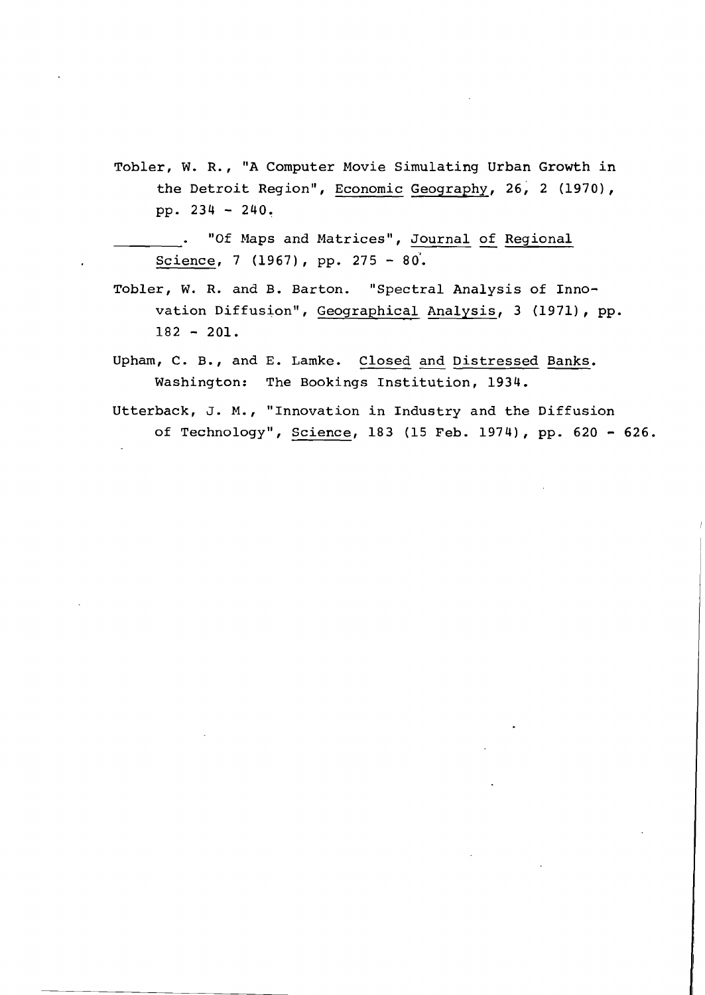Tobler, W. R., "A Computer Movie Simulating Urban Growth in the Detroit Region", Economic Geography, 26, 2 (1970), pp.  $234 - 240$ .

. "Of Maps and Matrices", Journal of Regional Science, 7 (1967), pp. 275 - *8d.*

- Tobler, W. R. and B. Barton. "Spectral Analysis of Innovation Diffusion", Geographical Analysis, 3 (1971), pp. 182 - 201.
- Upham, C. B., and E. Lamke. Closed and Distressed Banks. Washington: The Bookings Institution, 1934.
- Utterback, J. M., "Innovation in Industry and the Diffusion of Technology", Science, 183 (15 Feb. 1974), pp. 620 - 626.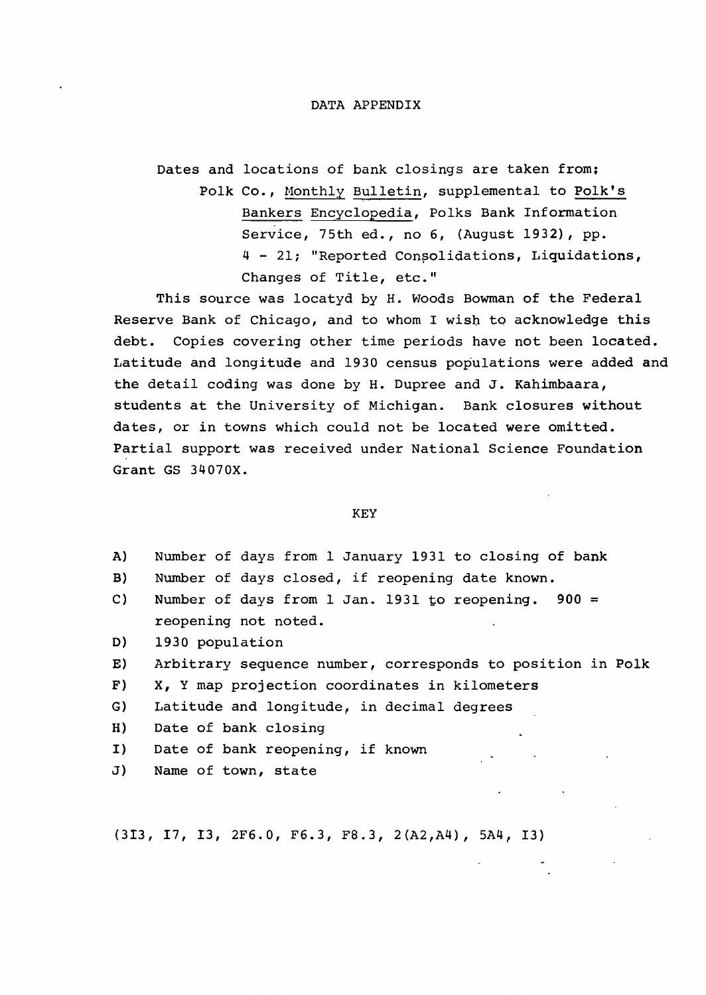## DATA APPENDIX

Dates and locations of bank closings are taken from; Polk Co., Monthly Bulletin, supplemental to Polk's Bankers Encyclopedia, Polks Bank Information Service, 75th ed., no 6, (August 1932), pp. 4 - 21; "Reported Consolidations, Liquidations, Changes of Title, etc."

This source was locatyd by H. Woods Bowman of the Federal Reserve Bank of Chicago, and to whom I wish to acknowledge this debt. Copies covering other time periods have not been located. Latitude and longitude and 1930 census populations were added and the detail coding was done by H. Dupree and J. Kahimbaara, students at the University of Michigan. Bank closures without dates, or in towns which could not be located were omitted. Partial support was received under National Science Foundation Grant GS 34070X.

## KEY

- A) Number of days from 1 January 1931 to closing of bank
- B) Number of days closed, if reopening date known.
- C) Number of days from  $1$  Jan. 1931 to reopening. 900 = reopening not noted.
- D) 1930 population
- E) Arbitrary sequence number, corresponds to position in Polk
- F) X, Y map projection coordinates in kilometers
- G) Latitude and longitude, in decimal degrees
- H) Date of bank closing
- I) Date of bank reopening, if known
- J) Name of town, state

(3I3, I7, 13, 2F6.0, F6.3, F8.3, 2(A2,A4), 5A4, 13)